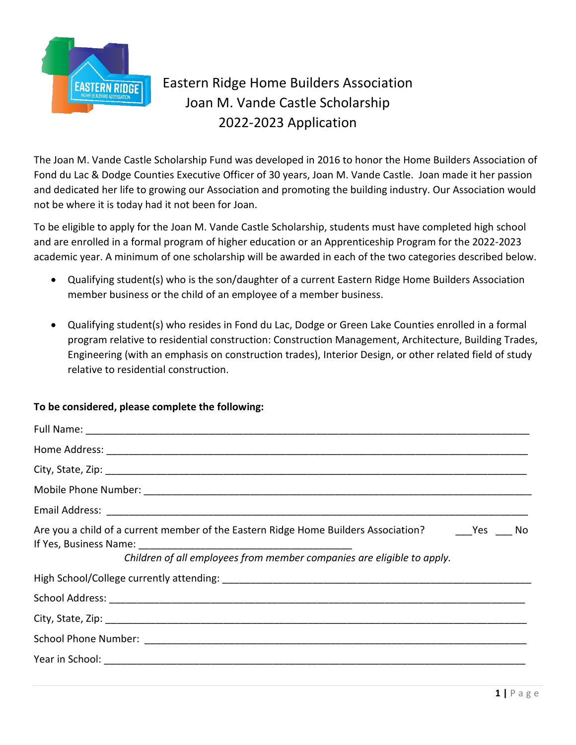

## Eastern Ridge Home Builders Association Joan M. Vande Castle Scholarship 2022-2023 Application

The Joan M. Vande Castle Scholarship Fund was developed in 2016 to honor the Home Builders Association of Fond du Lac & Dodge Counties Executive Officer of 30 years, Joan M. Vande Castle. Joan made it her passion and dedicated her life to growing our Association and promoting the building industry. Our Association would not be where it is today had it not been for Joan.

To be eligible to apply for the Joan M. Vande Castle Scholarship, students must have completed high school and are enrolled in a formal program of higher education or an Apprenticeship Program for the 2022-2023 academic year. A minimum of one scholarship will be awarded in each of the two categories described below.

- Qualifying student(s) who is the son/daughter of a current Eastern Ridge Home Builders Association member business or the child of an employee of a member business.
- Qualifying student(s) who resides in Fond du Lac, Dodge or Green Lake Counties enrolled in a formal program relative to residential construction: Construction Management, Architecture, Building Trades, Engineering (with an emphasis on construction trades), Interior Design, or other related field of study relative to residential construction.

## **To be considered, please complete the following:**

| Children of all employees from member companies are eligible to apply. |
|------------------------------------------------------------------------|
|                                                                        |
|                                                                        |
|                                                                        |
|                                                                        |
|                                                                        |